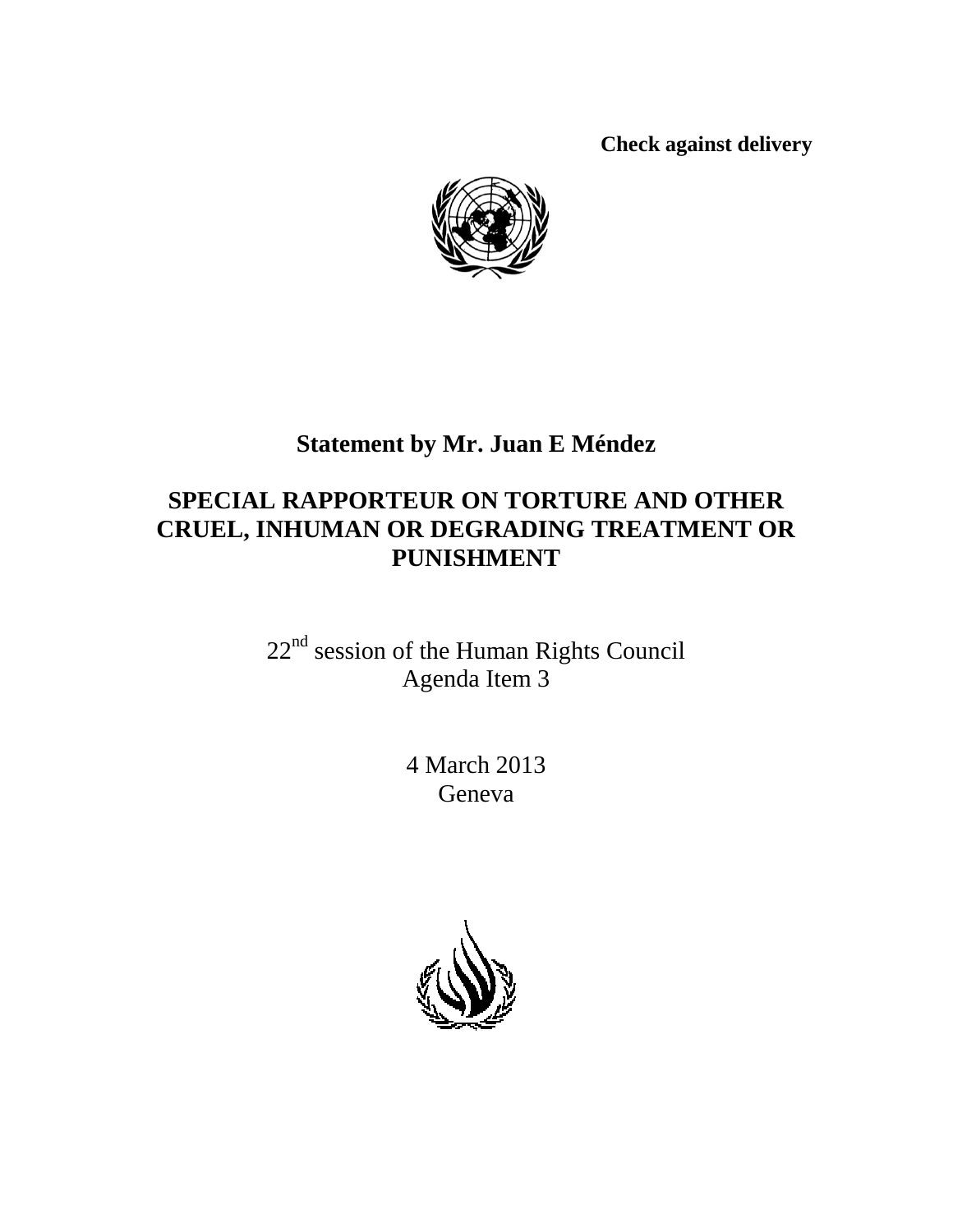**Check against delivery**



# **Statement by Mr. Juan E Méndez**

## **SPECIAL RAPPORTEUR ON TORTURE AND OTHER CRUEL, INHUMAN OR DEGRADING TREATMENT OR PUNISHMENT**

22<sup>nd</sup> session of the Human Rights Council Agenda Item 3

> 4 March 2013 Geneva

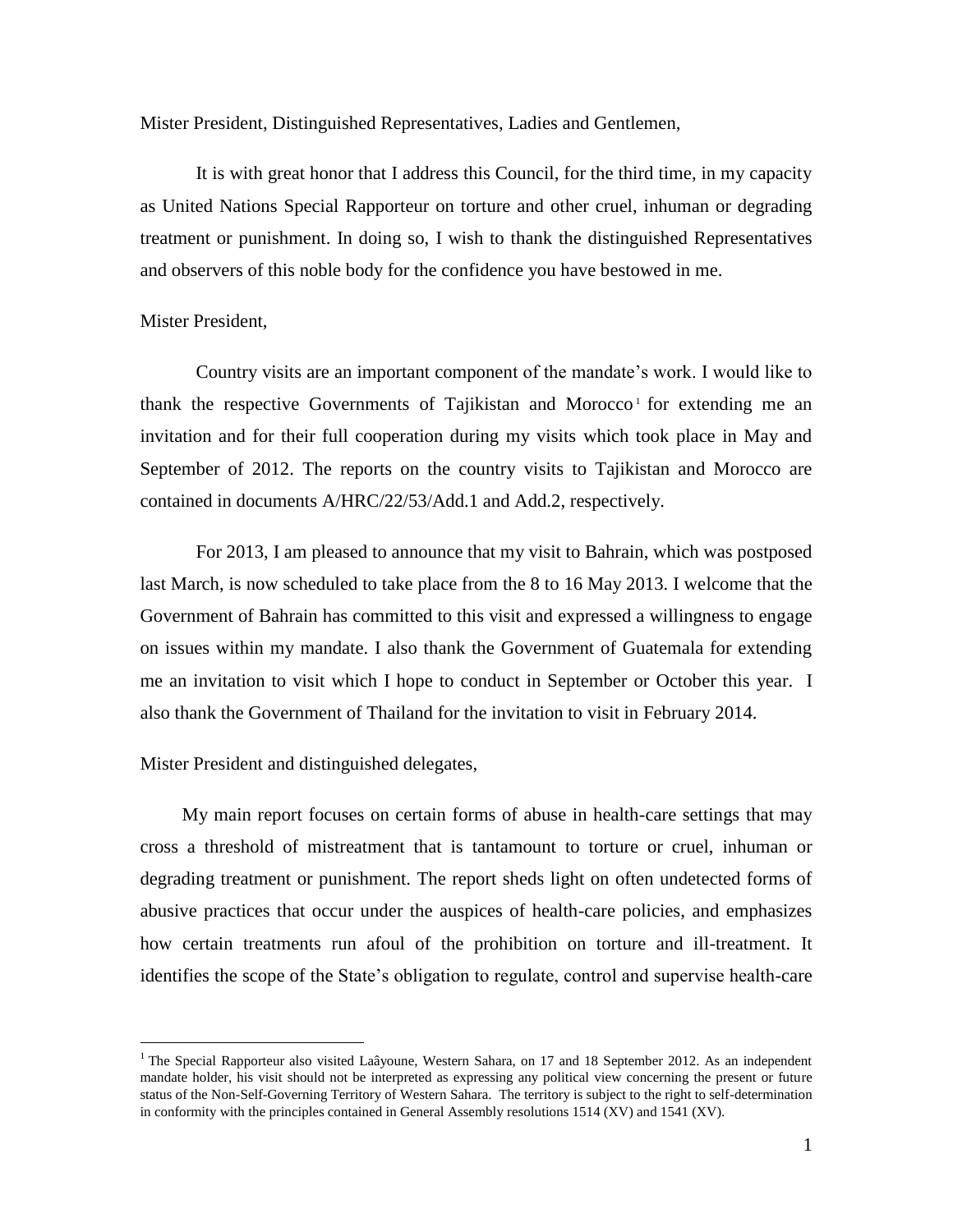Mister President, Distinguished Representatives, Ladies and Gentlemen,

It is with great honor that I address this Council, for the third time, in my capacity as United Nations Special Rapporteur on torture and other cruel, inhuman or degrading treatment or punishment. In doing so, I wish to thank the distinguished Representatives and observers of this noble body for the confidence you have bestowed in me.

## Mister President,

 $\overline{a}$ 

Country visits are an important component of the mandate's work. I would like to thank the respective Governments of Tajikistan and Morocco<sup>1</sup> for extending me an invitation and for their full cooperation during my visits which took place in May and September of 2012. The reports on the country visits to Tajikistan and Morocco are contained in documents A/HRC/22/53/Add.1 and Add.2, respectively.

For 2013, I am pleased to announce that my visit to Bahrain, which was postposed last March, is now scheduled to take place from the 8 to 16 May 2013. I welcome that the Government of Bahrain has committed to this visit and expressed a willingness to engage on issues within my mandate. I also thank the Government of Guatemala for extending me an invitation to visit which I hope to conduct in September or October this year. I also thank the Government of Thailand for the invitation to visit in February 2014.

## Mister President and distinguished delegates,

My main report focuses on certain forms of abuse in health-care settings that may cross a threshold of mistreatment that is tantamount to torture or cruel, inhuman or degrading treatment or punishment. The report sheds light on often undetected forms of abusive practices that occur under the auspices of health-care policies, and emphasizes how certain treatments run afoul of the prohibition on torture and ill-treatment. It identifies the scope of the State's obligation to regulate, control and supervise health-care

<sup>&</sup>lt;sup>1</sup> The Special Rapporteur also visited Laâyoune, Western Sahara, on 17 and 18 September 2012. As an independent mandate holder, his visit should not be interpreted as expressing any political view concerning the present or future status of the Non-Self-Governing Territory of Western Sahara. The territory is subject to the right to self-determination in conformity with the principles contained in General Assembly resolutions 1514 (XV) and 1541 (XV).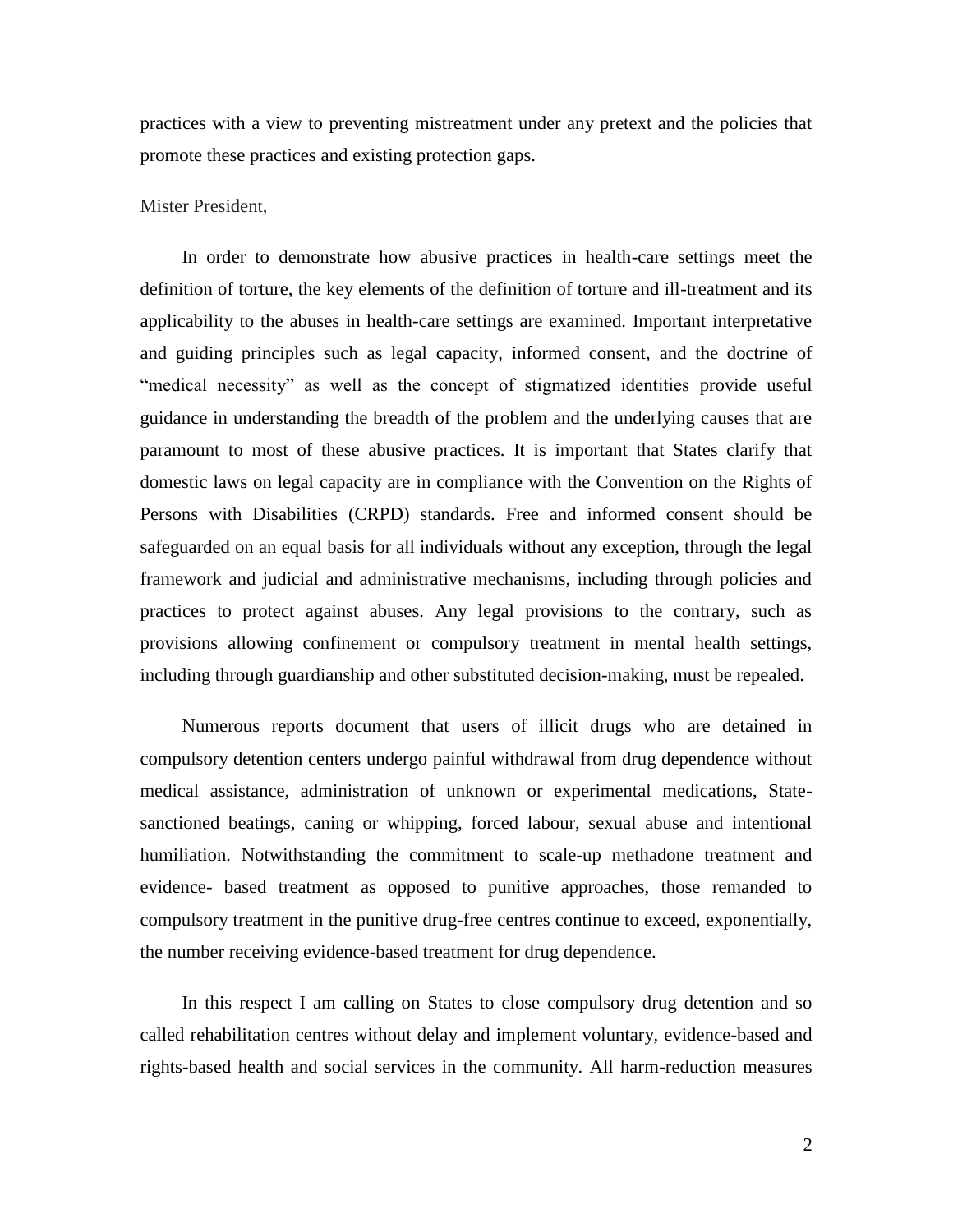practices with a view to preventing mistreatment under any pretext and the policies that promote these practices and existing protection gaps.

### Mister President,

In order to demonstrate how abusive practices in health-care settings meet the definition of torture, the key elements of the definition of torture and ill-treatment and its applicability to the abuses in health-care settings are examined. Important interpretative and guiding principles such as legal capacity, informed consent, and the doctrine of "medical necessity" as well as the concept of stigmatized identities provide useful guidance in understanding the breadth of the problem and the underlying causes that are paramount to most of these abusive practices. It is important that States clarify that domestic laws on legal capacity are in compliance with the Convention on the Rights of Persons with Disabilities (CRPD) standards. Free and informed consent should be safeguarded on an equal basis for all individuals without any exception, through the legal framework and judicial and administrative mechanisms, including through policies and practices to protect against abuses. Any legal provisions to the contrary, such as provisions allowing confinement or compulsory treatment in mental health settings, including through guardianship and other substituted decision-making, must be repealed.

Numerous reports document that users of illicit drugs who are detained in compulsory detention centers undergo painful withdrawal from drug dependence without medical assistance, administration of unknown or experimental medications, Statesanctioned beatings, caning or whipping, forced labour, sexual abuse and intentional humiliation. Notwithstanding the commitment to scale-up methadone treatment and evidence- based treatment as opposed to punitive approaches, those remanded to compulsory treatment in the punitive drug-free centres continue to exceed, exponentially, the number receiving evidence-based treatment for drug dependence.

In this respect I am calling on States to close compulsory drug detention and so called rehabilitation centres without delay and implement voluntary, evidence-based and rights-based health and social services in the community. All harm-reduction measures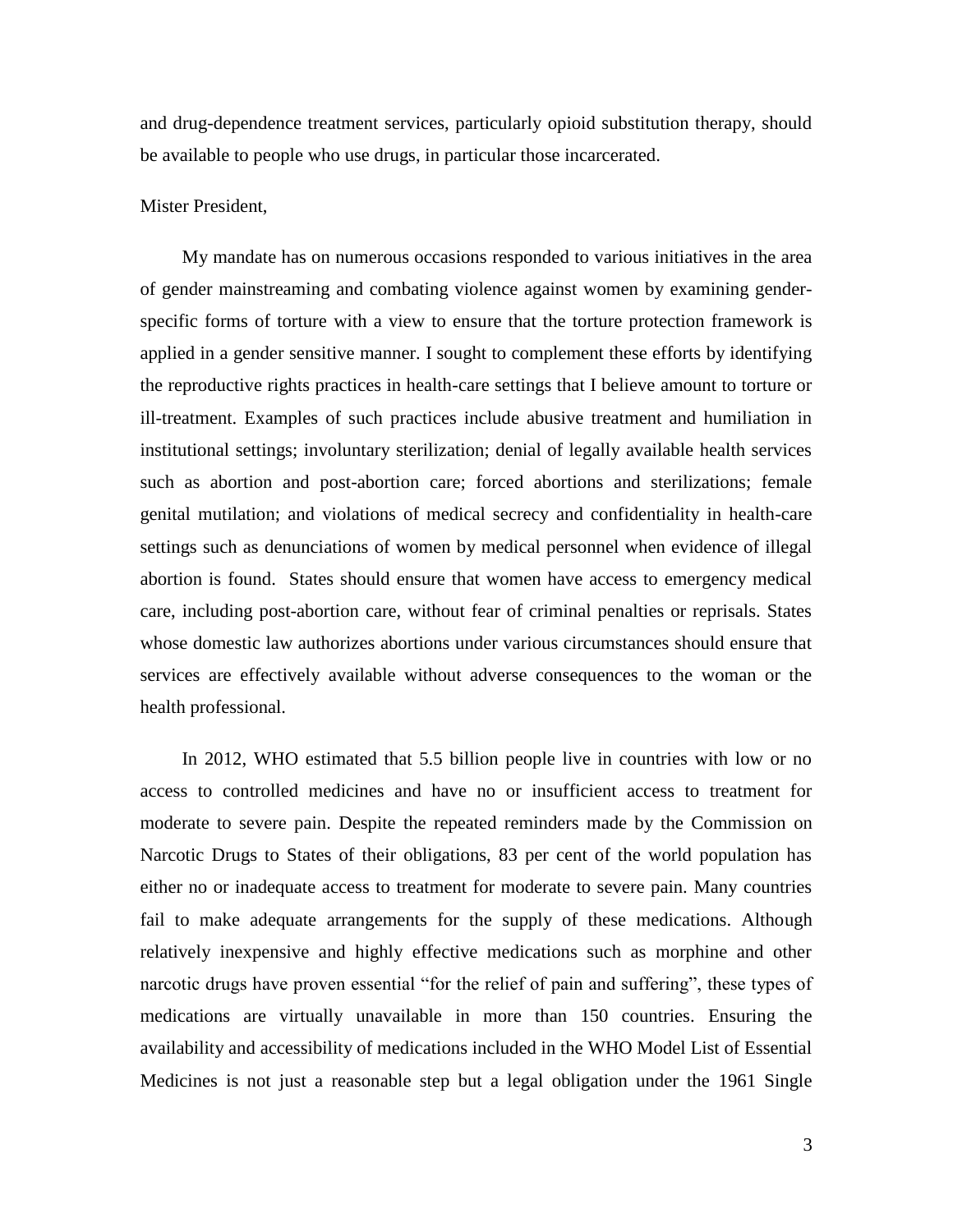and drug-dependence treatment services, particularly opioid substitution therapy, should be available to people who use drugs, in particular those incarcerated.

## Mister President,

My mandate has on numerous occasions responded to various initiatives in the area of gender mainstreaming and combating violence against women by examining genderspecific forms of torture with a view to ensure that the torture protection framework is applied in a gender sensitive manner. I sought to complement these efforts by identifying the reproductive rights practices in health-care settings that I believe amount to torture or ill-treatment. Examples of such practices include abusive treatment and humiliation in institutional settings; involuntary sterilization; denial of legally available health services such as abortion and post-abortion care; forced abortions and sterilizations; female genital mutilation; and violations of medical secrecy and confidentiality in health-care settings such as denunciations of women by medical personnel when evidence of illegal abortion is found. States should ensure that women have access to emergency medical care, including post-abortion care, without fear of criminal penalties or reprisals. States whose domestic law authorizes abortions under various circumstances should ensure that services are effectively available without adverse consequences to the woman or the health professional.

In 2012, WHO estimated that 5.5 billion people live in countries with low or no access to controlled medicines and have no or insufficient access to treatment for moderate to severe pain. Despite the repeated reminders made by the Commission on Narcotic Drugs to States of their obligations, 83 per cent of the world population has either no or inadequate access to treatment for moderate to severe pain. Many countries fail to make adequate arrangements for the supply of these medications. Although relatively inexpensive and highly effective medications such as morphine and other narcotic drugs have proven essential "for the relief of pain and suffering", these types of medications are virtually unavailable in more than 150 countries. Ensuring the availability and accessibility of medications included in the WHO Model List of Essential Medicines is not just a reasonable step but a legal obligation under the 1961 Single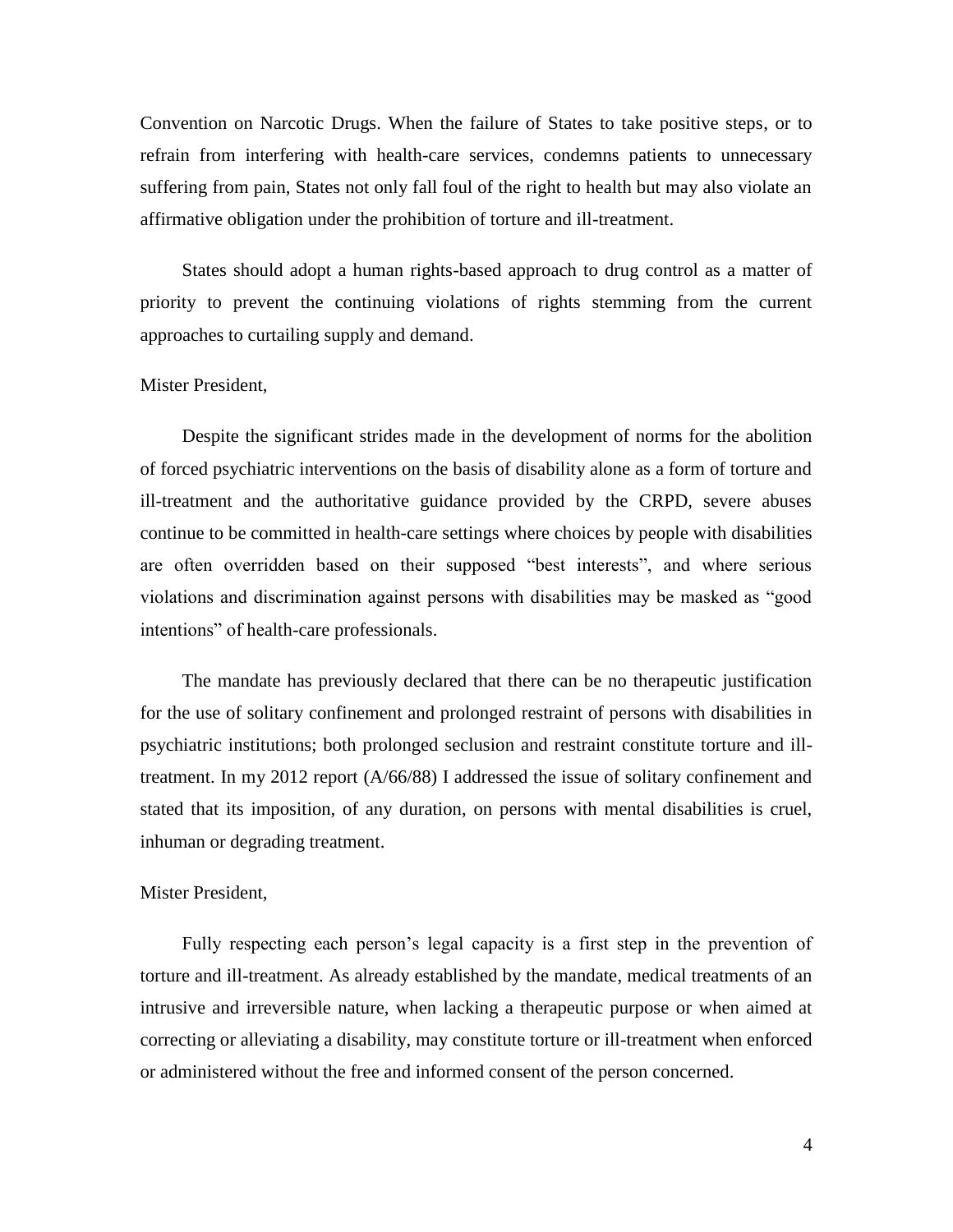Convention on Narcotic Drugs. When the failure of States to take positive steps, or to refrain from interfering with health-care services, condemns patients to unnecessary suffering from pain, States not only fall foul of the right to health but may also violate an affirmative obligation under the prohibition of torture and ill-treatment.

States should adopt a human rights-based approach to drug control as a matter of priority to prevent the continuing violations of rights stemming from the current approaches to curtailing supply and demand.

## Mister President,

Despite the significant strides made in the development of norms for the abolition of forced psychiatric interventions on the basis of disability alone as a form of torture and ill-treatment and the authoritative guidance provided by the CRPD, severe abuses continue to be committed in health-care settings where choices by people with disabilities are often overridden based on their supposed "best interests", and where serious violations and discrimination against persons with disabilities may be masked as "good intentions" of health-care professionals.

The mandate has previously declared that there can be no therapeutic justification for the use of solitary confinement and prolonged restraint of persons with disabilities in psychiatric institutions; both prolonged seclusion and restraint constitute torture and illtreatment. In my 2012 report (A/66/88) I addressed the issue of solitary confinement and stated that its imposition, of any duration, on persons with mental disabilities is cruel, inhuman or degrading treatment.

#### Mister President,

Fully respecting each person's legal capacity is a first step in the prevention of torture and ill-treatment. As already established by the mandate, medical treatments of an intrusive and irreversible nature, when lacking a therapeutic purpose or when aimed at correcting or alleviating a disability, may constitute torture or ill-treatment when enforced or administered without the free and informed consent of the person concerned.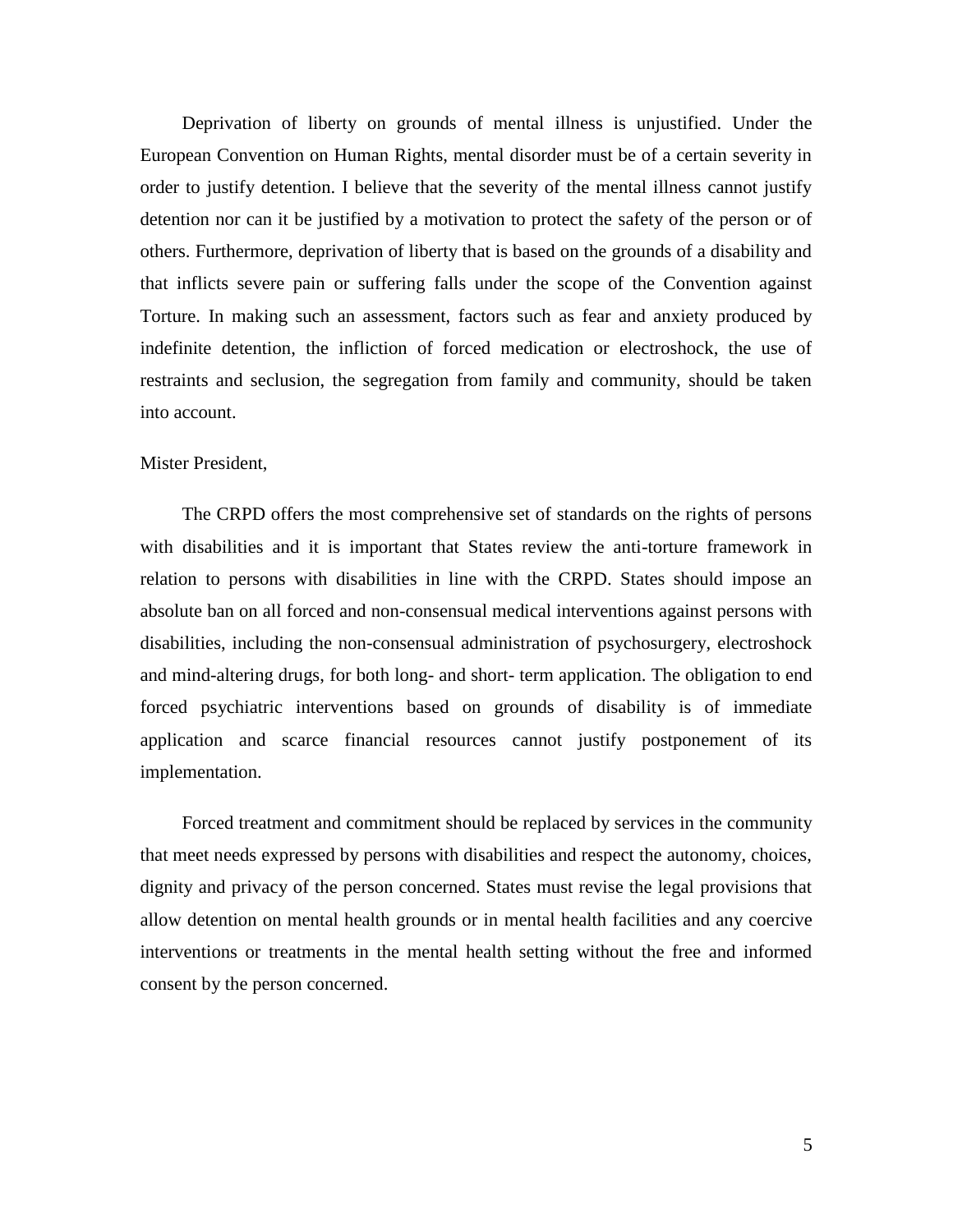Deprivation of liberty on grounds of mental illness is unjustified. Under the European Convention on Human Rights, mental disorder must be of a certain severity in order to justify detention. I believe that the severity of the mental illness cannot justify detention nor can it be justified by a motivation to protect the safety of the person or of others. Furthermore, deprivation of liberty that is based on the grounds of a disability and that inflicts severe pain or suffering falls under the scope of the Convention against Torture. In making such an assessment, factors such as fear and anxiety produced by indefinite detention, the infliction of forced medication or electroshock, the use of restraints and seclusion, the segregation from family and community, should be taken into account.

## Mister President,

The CRPD offers the most comprehensive set of standards on the rights of persons with disabilities and it is important that States review the anti-torture framework in relation to persons with disabilities in line with the CRPD. States should impose an absolute ban on all forced and non-consensual medical interventions against persons with disabilities, including the non-consensual administration of psychosurgery, electroshock and mind-altering drugs, for both long- and short- term application. The obligation to end forced psychiatric interventions based on grounds of disability is of immediate application and scarce financial resources cannot justify postponement of its implementation.

Forced treatment and commitment should be replaced by services in the community that meet needs expressed by persons with disabilities and respect the autonomy, choices, dignity and privacy of the person concerned. States must revise the legal provisions that allow detention on mental health grounds or in mental health facilities and any coercive interventions or treatments in the mental health setting without the free and informed consent by the person concerned.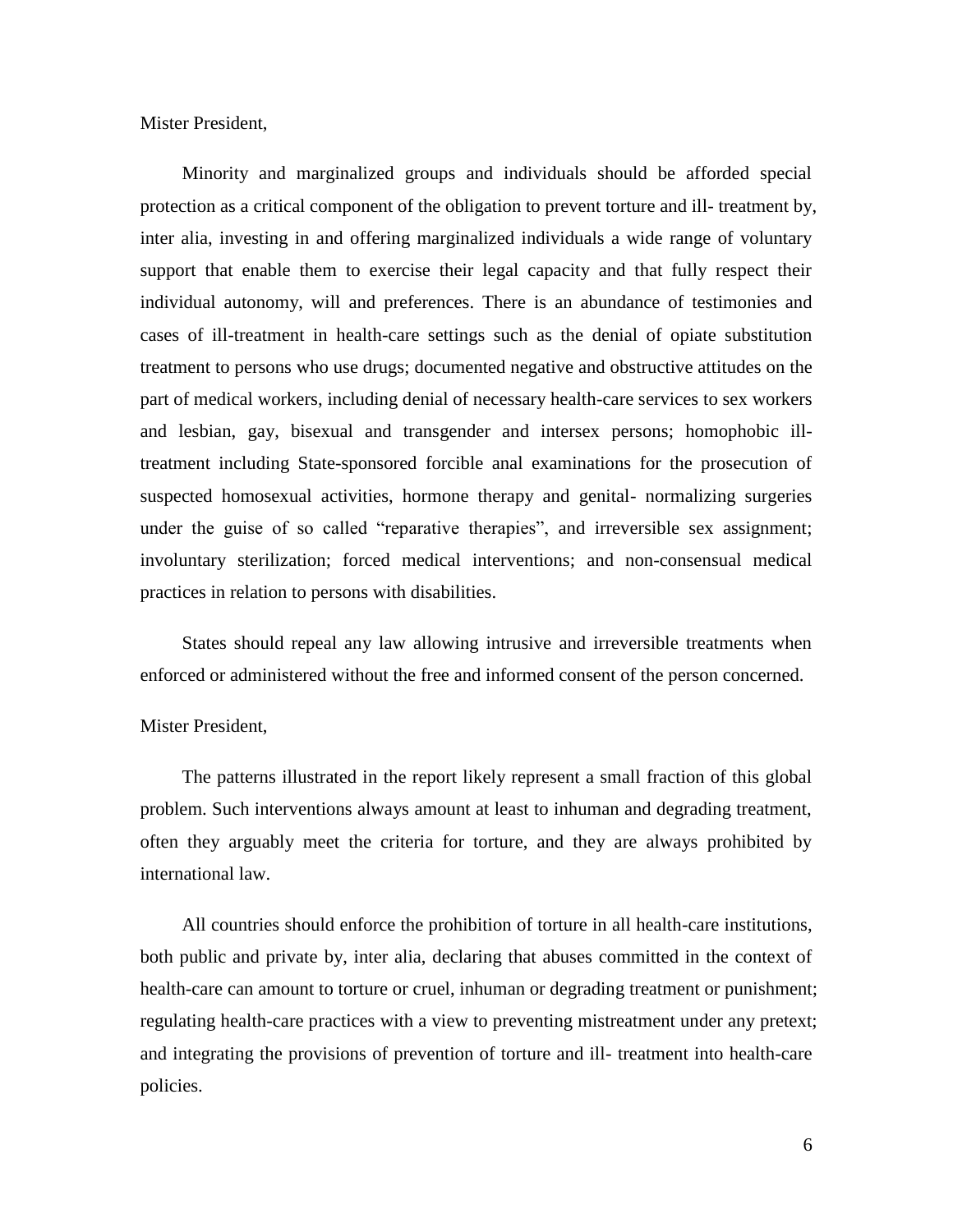Mister President,

Minority and marginalized groups and individuals should be afforded special protection as a critical component of the obligation to prevent torture and ill- treatment by, inter alia, investing in and offering marginalized individuals a wide range of voluntary support that enable them to exercise their legal capacity and that fully respect their individual autonomy, will and preferences. There is an abundance of testimonies and cases of ill-treatment in health-care settings such as the denial of opiate substitution treatment to persons who use drugs; documented negative and obstructive attitudes on the part of medical workers, including denial of necessary health-care services to sex workers and lesbian, gay, bisexual and transgender and intersex persons; homophobic illtreatment including State-sponsored forcible anal examinations for the prosecution of suspected homosexual activities, hormone therapy and genital- normalizing surgeries under the guise of so called "reparative therapies", and irreversible sex assignment; involuntary sterilization; forced medical interventions; and non-consensual medical practices in relation to persons with disabilities.

States should repeal any law allowing intrusive and irreversible treatments when enforced or administered without the free and informed consent of the person concerned.

## Mister President,

The patterns illustrated in the report likely represent a small fraction of this global problem. Such interventions always amount at least to inhuman and degrading treatment, often they arguably meet the criteria for torture, and they are always prohibited by international law.

All countries should enforce the prohibition of torture in all health-care institutions, both public and private by, inter alia, declaring that abuses committed in the context of health-care can amount to torture or cruel, inhuman or degrading treatment or punishment; regulating health-care practices with a view to preventing mistreatment under any pretext; and integrating the provisions of prevention of torture and ill- treatment into health-care policies.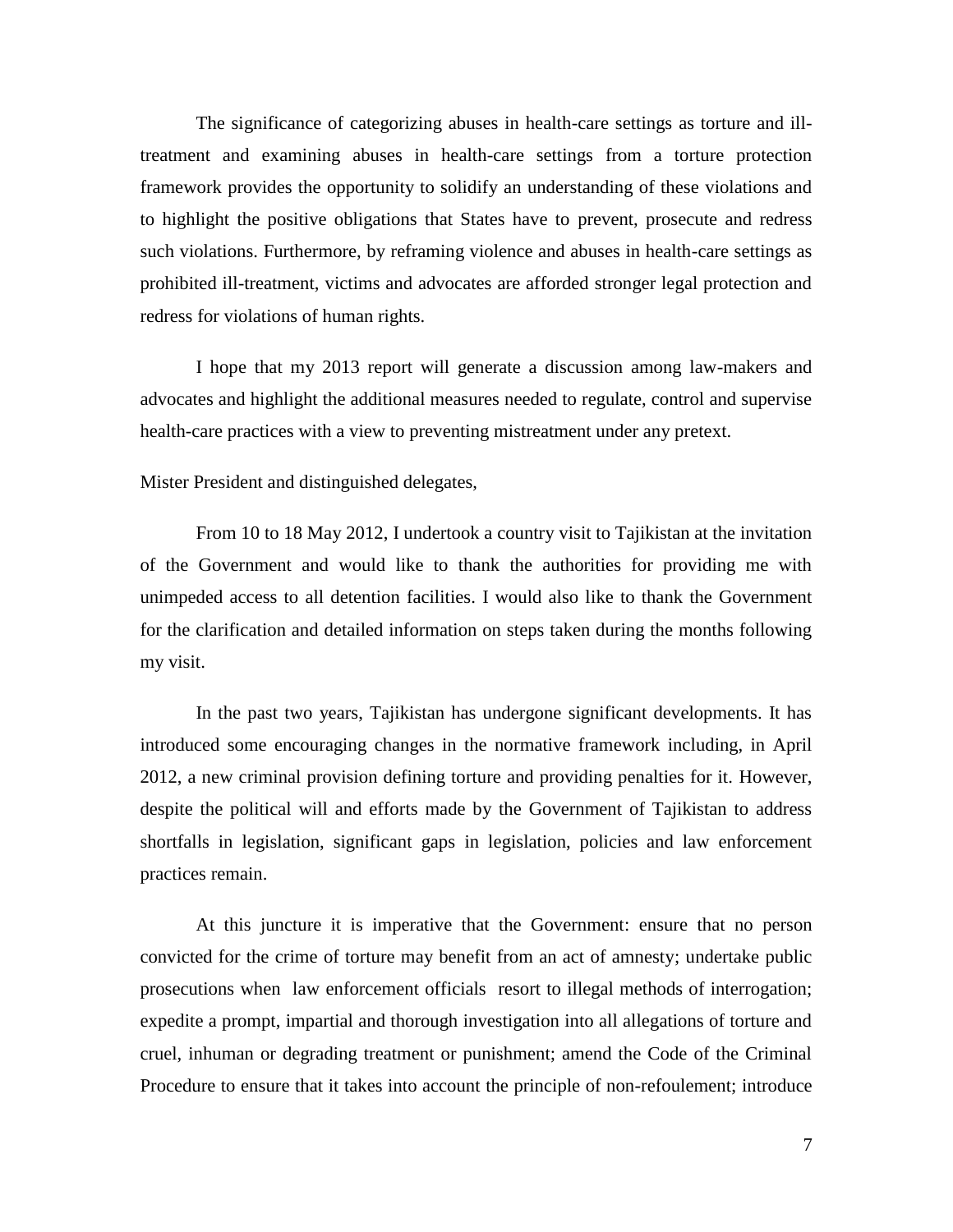The significance of categorizing abuses in health-care settings as torture and illtreatment and examining abuses in health-care settings from a torture protection framework provides the opportunity to solidify an understanding of these violations and to highlight the positive obligations that States have to prevent, prosecute and redress such violations. Furthermore, by reframing violence and abuses in health-care settings as prohibited ill-treatment, victims and advocates are afforded stronger legal protection and redress for violations of human rights.

I hope that my 2013 report will generate a discussion among law-makers and advocates and highlight the additional measures needed to regulate, control and supervise health-care practices with a view to preventing mistreatment under any pretext.

Mister President and distinguished delegates,

From 10 to 18 May 2012, I undertook a country visit to Tajikistan at the invitation of the Government and would like to thank the authorities for providing me with unimpeded access to all detention facilities. I would also like to thank the Government for the clarification and detailed information on steps taken during the months following my visit.

In the past two years, Tajikistan has undergone significant developments. It has introduced some encouraging changes in the normative framework including, in April 2012, a new criminal provision defining torture and providing penalties for it. However, despite the political will and efforts made by the Government of Tajikistan to address shortfalls in legislation, significant gaps in legislation, policies and law enforcement practices remain.

At this juncture it is imperative that the Government: ensure that no person convicted for the crime of torture may benefit from an act of amnesty; undertake public prosecutions when law enforcement officials resort to illegal methods of interrogation; expedite a prompt, impartial and thorough investigation into all allegations of torture and cruel, inhuman or degrading treatment or punishment; amend the Code of the Criminal Procedure to ensure that it takes into account the principle of non-refoulement; introduce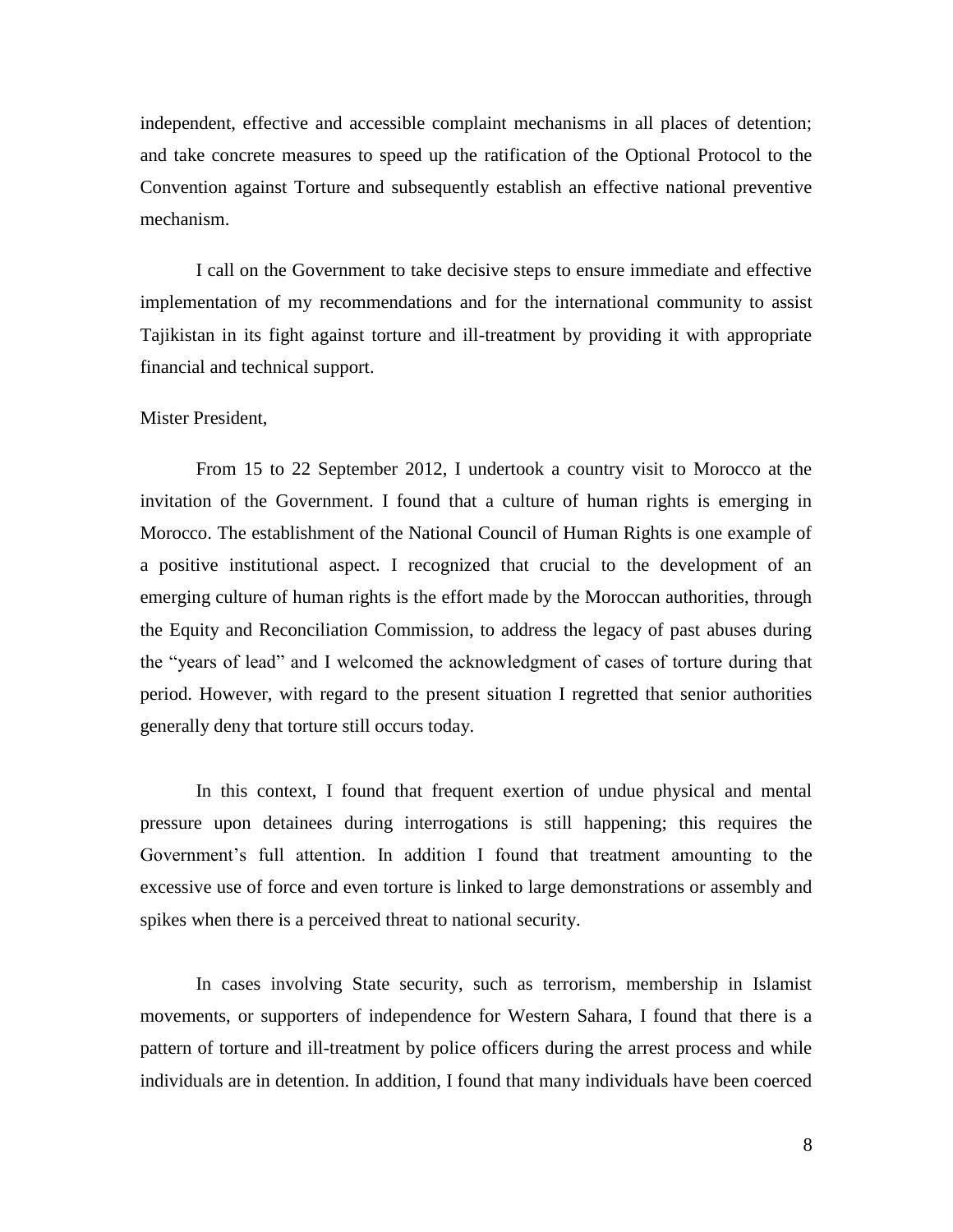independent, effective and accessible complaint mechanisms in all places of detention; and take concrete measures to speed up the ratification of the Optional Protocol to the Convention against Torture and subsequently establish an effective national preventive mechanism.

I call on the Government to take decisive steps to ensure immediate and effective implementation of my recommendations and for the international community to assist Tajikistan in its fight against torture and ill-treatment by providing it with appropriate financial and technical support.

#### Mister President,

From 15 to 22 September 2012, I undertook a country visit to Morocco at the invitation of the Government. I found that a culture of human rights is emerging in Morocco. The establishment of the National Council of Human Rights is one example of a positive institutional aspect. I recognized that crucial to the development of an emerging culture of human rights is the effort made by the Moroccan authorities, through the Equity and Reconciliation Commission, to address the legacy of past abuses during the "years of lead" and I welcomed the acknowledgment of cases of torture during that period. However, with regard to the present situation I regretted that senior authorities generally deny that torture still occurs today.

In this context, I found that frequent exertion of undue physical and mental pressure upon detainees during interrogations is still happening; this requires the Government's full attention. In addition I found that treatment amounting to the excessive use of force and even torture is linked to large demonstrations or assembly and spikes when there is a perceived threat to national security.

In cases involving State security, such as terrorism, membership in Islamist movements, or supporters of independence for Western Sahara, I found that there is a pattern of torture and ill-treatment by police officers during the arrest process and while individuals are in detention. In addition, I found that many individuals have been coerced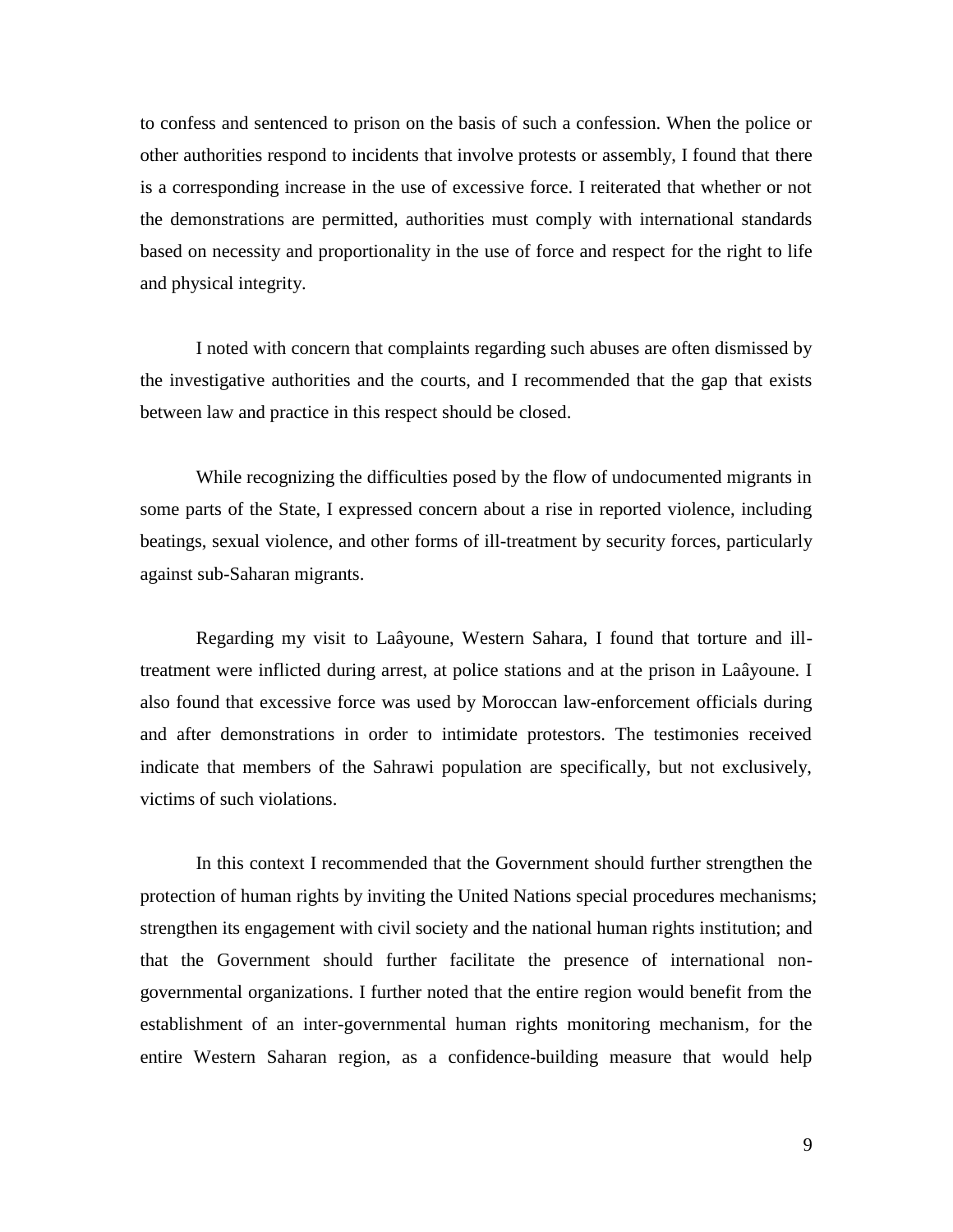to confess and sentenced to prison on the basis of such a confession. When the police or other authorities respond to incidents that involve protests or assembly, I found that there is a corresponding increase in the use of excessive force. I reiterated that whether or not the demonstrations are permitted, authorities must comply with international standards based on necessity and proportionality in the use of force and respect for the right to life and physical integrity.

I noted with concern that complaints regarding such abuses are often dismissed by the investigative authorities and the courts, and I recommended that the gap that exists between law and practice in this respect should be closed.

While recognizing the difficulties posed by the flow of undocumented migrants in some parts of the State, I expressed concern about a rise in reported violence, including beatings, sexual violence, and other forms of ill-treatment by security forces, particularly against sub-Saharan migrants.

Regarding my visit to Laâyoune, Western Sahara, I found that torture and illtreatment were inflicted during arrest, at police stations and at the prison in Laâyoune. I also found that excessive force was used by Moroccan law-enforcement officials during and after demonstrations in order to intimidate protestors. The testimonies received indicate that members of the Sahrawi population are specifically, but not exclusively, victims of such violations.

In this context I recommended that the Government should further strengthen the protection of human rights by inviting the United Nations special procedures mechanisms; strengthen its engagement with civil society and the national human rights institution; and that the Government should further facilitate the presence of international nongovernmental organizations. I further noted that the entire region would benefit from the establishment of an inter-governmental human rights monitoring mechanism, for the entire Western Saharan region, as a confidence-building measure that would help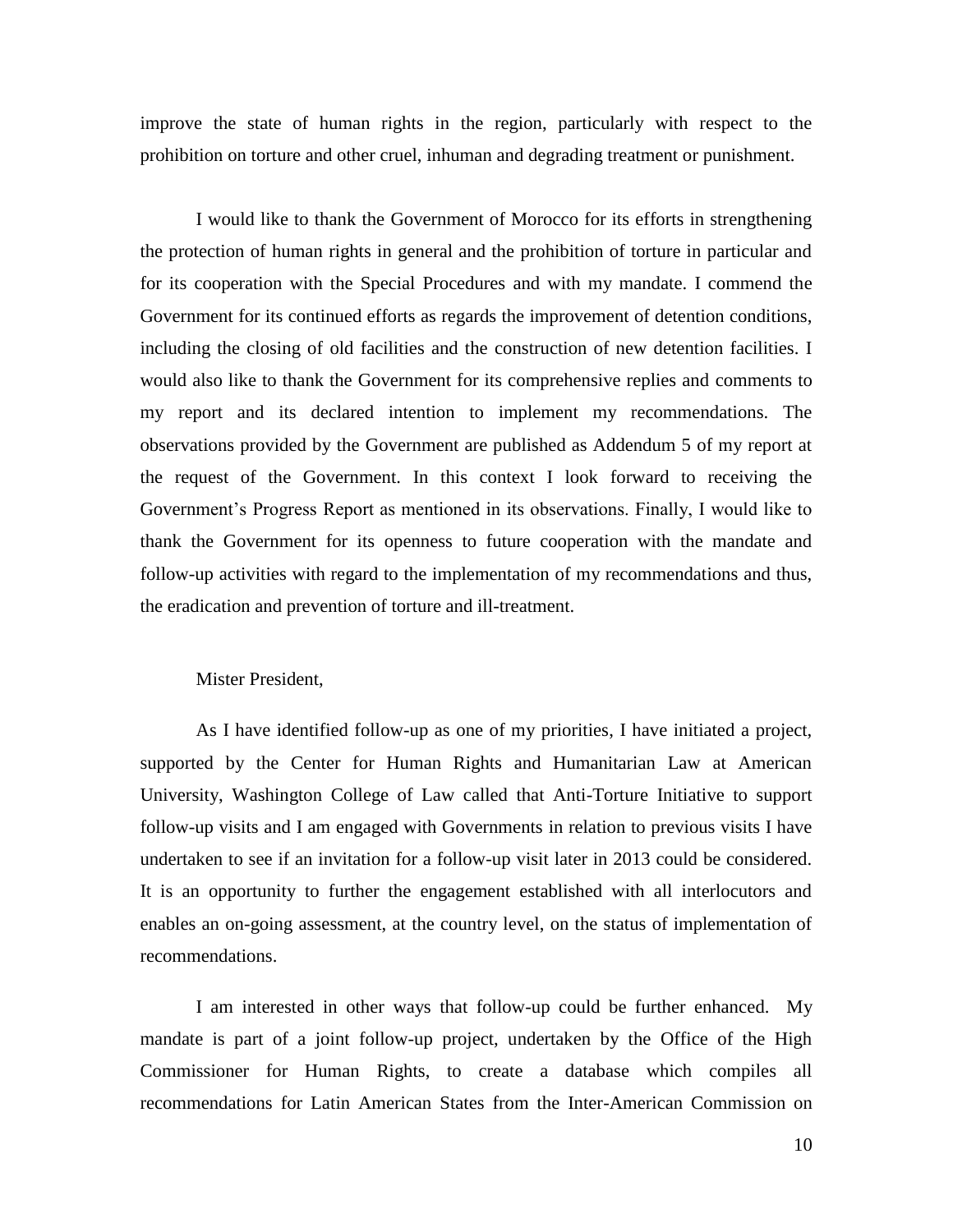improve the state of human rights in the region, particularly with respect to the prohibition on torture and other cruel, inhuman and degrading treatment or punishment.

I would like to thank the Government of Morocco for its efforts in strengthening the protection of human rights in general and the prohibition of torture in particular and for its cooperation with the Special Procedures and with my mandate. I commend the Government for its continued efforts as regards the improvement of detention conditions, including the closing of old facilities and the construction of new detention facilities. I would also like to thank the Government for its comprehensive replies and comments to my report and its declared intention to implement my recommendations. The observations provided by the Government are published as Addendum 5 of my report at the request of the Government. In this context I look forward to receiving the Government's Progress Report as mentioned in its observations. Finally, I would like to thank the Government for its openness to future cooperation with the mandate and follow-up activities with regard to the implementation of my recommendations and thus, the eradication and prevention of torture and ill-treatment.

## Mister President,

As I have identified follow-up as one of my priorities, I have initiated a project, supported by the Center for Human Rights and Humanitarian Law at American University, Washington College of Law called that Anti-Torture Initiative to support follow-up visits and I am engaged with Governments in relation to previous visits I have undertaken to see if an invitation for a follow-up visit later in 2013 could be considered. It is an opportunity to further the engagement established with all interlocutors and enables an on-going assessment, at the country level, on the status of implementation of recommendations.

I am interested in other ways that follow-up could be further enhanced. My mandate is part of a joint follow-up project, undertaken by the Office of the High Commissioner for Human Rights, to create a database which compiles all recommendations for Latin American States from the Inter-American Commission on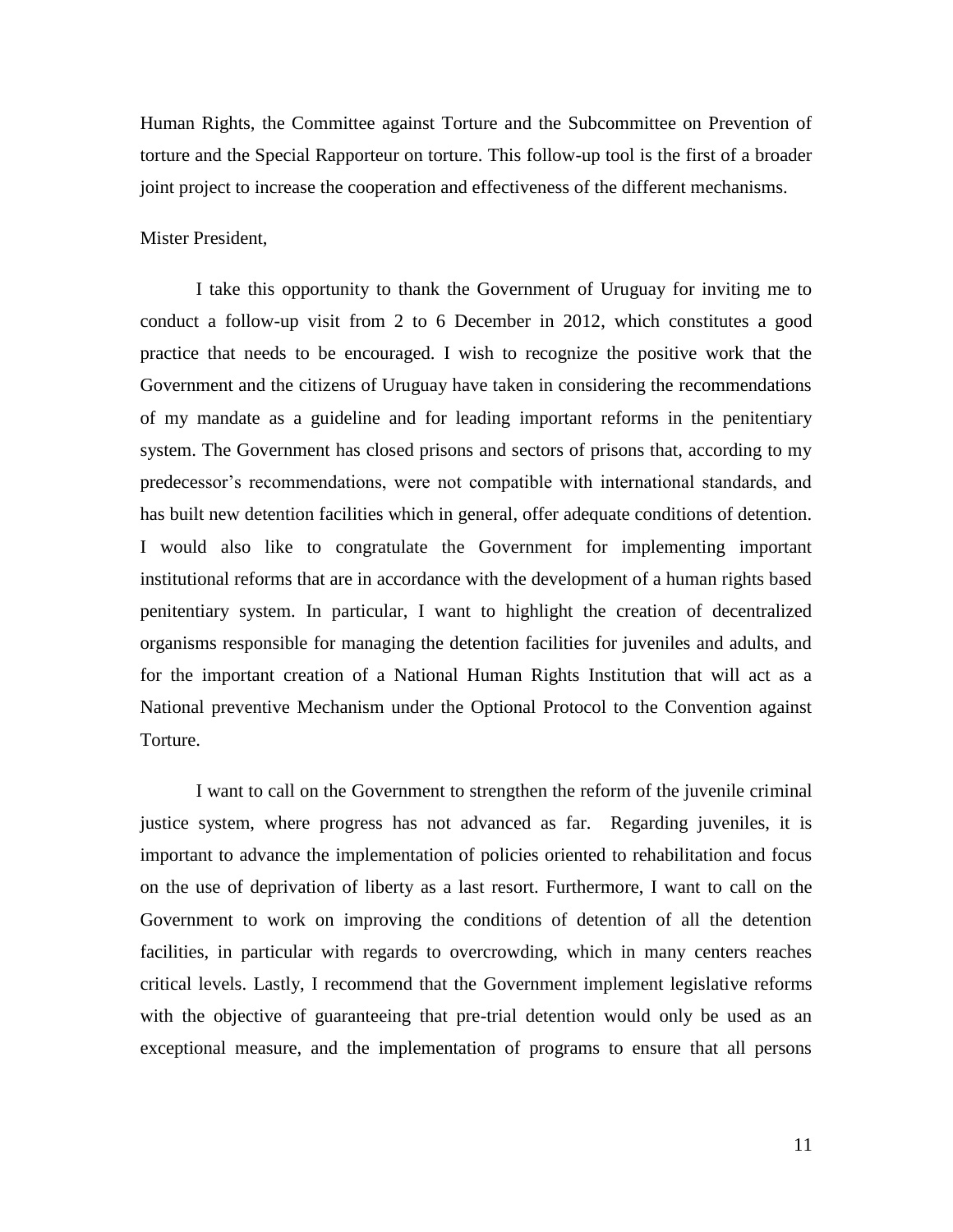Human Rights, the Committee against Torture and the Subcommittee on Prevention of torture and the Special Rapporteur on torture. This follow-up tool is the first of a broader joint project to increase the cooperation and effectiveness of the different mechanisms.

#### Mister President,

I take this opportunity to thank the Government of Uruguay for inviting me to conduct a follow-up visit from 2 to 6 December in 2012, which constitutes a good practice that needs to be encouraged. I wish to recognize the positive work that the Government and the citizens of Uruguay have taken in considering the recommendations of my mandate as a guideline and for leading important reforms in the penitentiary system. The Government has closed prisons and sectors of prisons that, according to my predecessor's recommendations, were not compatible with international standards, and has built new detention facilities which in general, offer adequate conditions of detention. I would also like to congratulate the Government for implementing important institutional reforms that are in accordance with the development of a human rights based penitentiary system. In particular, I want to highlight the creation of decentralized organisms responsible for managing the detention facilities for juveniles and adults, and for the important creation of a National Human Rights Institution that will act as a National preventive Mechanism under the Optional Protocol to the Convention against **Torture** 

I want to call on the Government to strengthen the reform of the juvenile criminal justice system, where progress has not advanced as far. Regarding juveniles, it is important to advance the implementation of policies oriented to rehabilitation and focus on the use of deprivation of liberty as a last resort. Furthermore, I want to call on the Government to work on improving the conditions of detention of all the detention facilities, in particular with regards to overcrowding, which in many centers reaches critical levels. Lastly, I recommend that the Government implement legislative reforms with the objective of guaranteeing that pre-trial detention would only be used as an exceptional measure, and the implementation of programs to ensure that all persons